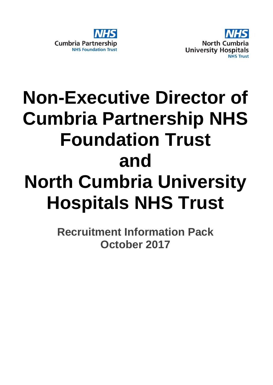



# **Non-Executive Director of Cumbria Partnership NHS Foundation Trust and North Cumbria University Hospitals NHS Trust**

**Recruitment Information Pack October 2017**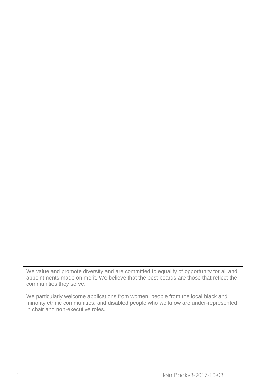We value and promote diversity and are committed to equality of opportunity for all and appointments made on merit. We believe that the best boards are those that reflect the communities they serve.

We particularly welcome applications from women, people from the local black and minority ethnic communities, and disabled people who we know are under-represented in chair and non-executive roles.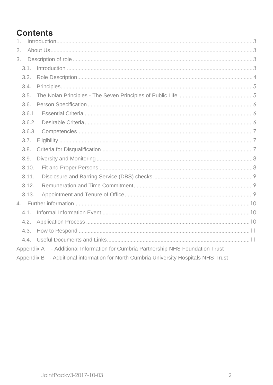# **Contents**

| 1.                                                                                   |
|--------------------------------------------------------------------------------------|
| 2.                                                                                   |
| 3.                                                                                   |
| 3.1.                                                                                 |
| 3.2.                                                                                 |
| 3.4.                                                                                 |
| 3.5.                                                                                 |
| 3.6.                                                                                 |
| 3.6.1.                                                                               |
| 3.6.2.                                                                               |
| 3.6.3.                                                                               |
| 3.7.                                                                                 |
| 3.8.                                                                                 |
| 3.9.                                                                                 |
| 3.10.                                                                                |
| 3.11.                                                                                |
| 3.12.                                                                                |
| 3.13.                                                                                |
|                                                                                      |
| 4.1.                                                                                 |
| 4.2.                                                                                 |
| 4.3.                                                                                 |
|                                                                                      |
| Appendix A - Additional Information for Cumbria Partnership NHS Foundation Trust     |
| Appendix B - Additional information for North Cumbria University Hospitals NHS Trust |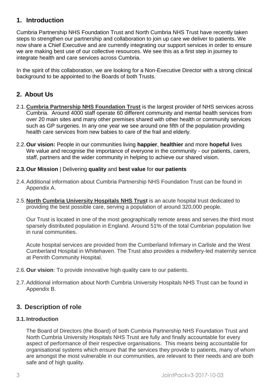# <span id="page-3-0"></span>**1. Introduction**

Cumbria Partnership NHS Foundation Trust and North Cumbria NHS Trust have recently taken steps to strengthen our partnership and collaboration to join up care we deliver to patients. We now share a Chief Executive and are currently integrating our support services in order to ensure we are making best use of our collective resources. We see this as a first step in journey to integrate health and care services across Cumbria.

In the spirit of this collaboration, we are looking for a Non-Executive Director with a strong clinical background to be appointed to the Boards of both Trusts.

# <span id="page-3-1"></span>**2. About Us**

- 2.1.**Cumbria Partnership NHS Foundation Trust** is the largest provider of NHS services across Cumbria. Around 4000 staff operate 60 different community and mental health services from over 20 main sites and many other premises shared with other health or community services such as GP surgeries. In any one year we see around one fifth of the population providing health care services from new babies to care of the frail and elderly.
- 2.2.**Our vision:** People in our communities living **happier**, **healthier** and more **hopeful** lives We value and recognise the importance of everyone in the community - our patients, carers, staff, partners and the wider community in helping to achieve our shared vision.

#### **2.3.Our Mission** | Delivering **quality** and **best value** for **our patients**

- 2.4.Additional information about Cumbria Partnership NHS Foundation Trust can be found in Appendix A.
- 2.5.**North Cumbria University Hospitals NHS Trust** is an acute hospital trust dedicated to providing the best possible care, serving a population of around 320,000 people.

Our Trust is located in one of the most geographically remote areas and serves the third most sparsely distributed population in England. Around 51% of the total Cumbrian population live in rural communities.

Acute hospital services are provided from the Cumberland Infirmary in Carlisle and the West Cumberland Hospital in Whitehaven. The Trust also provides a midwifery-led maternity service at Penrith Community Hospital.

- 2.6.**Our vision**: To provide innovative high quality care to our patients.
- 2.7.Additional information about North Cumbria University Hospitals NHS Trust can be found in Appendix B.

# <span id="page-3-2"></span>**3. Description of role**

#### <span id="page-3-3"></span>**3.1.Introduction**

The Board of Directors (the Board) of both Cumbria Partnership NHS Foundation Trust and North Cumbria University Hospitals NHS Trust are fully and finally accountable for every aspect of performance of their respective organisations. This means being accountable for organisational systems which ensure that the services they provide to patients, many of whom are amongst the most vulnerable in our communities, are relevant to their needs and are both safe and of high quality.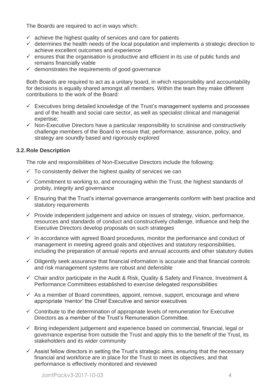The Boards are required to act in ways which:

- $\checkmark$  achieve the highest quality of services and care for patients
- $\checkmark$  determines the health needs of the local population and implements a strategic direction to achieve excellent outcomes and experience
- $\checkmark$  ensures that the organisation is productive and efficient in its use of public funds and remains financially viable
- $\checkmark$  demonstrates the requirements of good governance

Both Boards are required to act as a unitary board, in which responsibility and accountability for decisions is equally shared amongst all members. Within the team they make different contributions to the work of the Board:

- $\checkmark$  Executives bring detailed knowledge of the Trust's management systems and processes and of the health and social care sector, as well as specialist clinical and managerial expertise;
- $\checkmark$  Non-Executive Directors have a particular responsibility to scrutinise and constructively challenge members of the Board to ensure that; performance, assurance, policy, and strategy are soundly based and rigorously explored

#### <span id="page-4-0"></span>**3.2.Role Description**

The role and responsibilities of Non-Executive Directors include the following:

- $\checkmark$  To consistently deliver the highest quality of services we can
- $\checkmark$  Commitment to working to, and encouraging within the Trust, the highest standards of probity, integrity and governance
- $\checkmark$  Ensuring that the Trust's internal governance arrangements conform with best practice and statutory requirements
- $\checkmark$  Provide independent judgement and advice on issues of strategy, vision, performance, resources and standards of conduct and constructively challenge, influence and help the Executive Directors develop proposals on such strategies
- $\checkmark$  In accordance with agreed Board procedures, monitor the performance and conduct of management in meeting agreed goals and objectives and statutory responsibilities, including the preparation of annual reports and annual accounts and other statutory duties
- $\checkmark$  Diligently seek assurance that financial information is accurate and that financial controls and risk management systems are robust and defensible
- $\checkmark$  Chair and/or participate in the Audit & Risk, Quality & Safety and Finance, Investment & Performance Committees established to exercise delegated responsibilities
- $\checkmark$  As a member of Board committees, appoint, remove, support, encourage and where appropriate 'mentor' the Chief Executive and senior executives
- $\checkmark$  Contribute to the determination of appropriate levels of remuneration for Executive Directors as a member of the Trust's Remuneration Committee.
- $\checkmark$  Bring independent judgement and experience based on commercial, financial, legal or governance expertise from outside the Trust and apply this to the benefit of the Trust, its stakeholders and its wider community
- $\checkmark$  Assist fellow directors in setting the Trust's strategic aims, ensuring that the necessary financial and workforce are in place for the Trust to meet its objectives, and that performance is effectively monitored and reviewed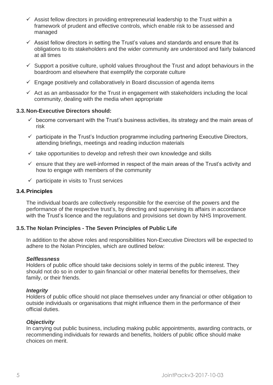- $\checkmark$  Assist fellow directors in providing entrepreneurial leadership to the Trust within a framework of prudent and effective controls, which enable risk to be assessed and managed
- $\checkmark$  Assist fellow directors in setting the Trust's values and standards and ensure that its obligations to its stakeholders and the wider community are understood and fairly balanced at all times
- $\checkmark$  Support a positive culture, uphold values throughout the Trust and adopt behaviours in the boardroom and elsewhere that exemplify the corporate culture
- $\checkmark$  Engage positively and collaboratively in Board discussion of agenda items
- $\checkmark$  Act as an ambassador for the Trust in engagement with stakeholders including the local community, dealing with the media when appropriate

#### **3.3.Non-Executive Directors should:**

- $\checkmark$  become conversant with the Trust's business activities, its strategy and the main areas of risk
- $\checkmark$  participate in the Trust's Induction programme including partnering Executive Directors, attending briefings, meetings and reading induction materials
- $\checkmark$  take opportunities to develop and refresh their own knowledge and skills
- $\checkmark$  ensure that they are well-informed in respect of the main areas of the Trust's activity and how to engage with members of the community
- $\checkmark$  participate in visits to Trust services

#### <span id="page-5-0"></span>**3.4.Principles**

The individual boards are collectively responsible for the exercise of the powers and the performance of the respective trust's, by directing and supervising its affairs in accordance with the Trust's licence and the regulations and provisions set down by NHS Improvement.

#### <span id="page-5-1"></span>**3.5.The Nolan Principles - The Seven Principles of Public Life**

In addition to the above roles and responsibilities Non-Executive Directors will be expected to adhere to the Nolan Principles, which are outlined below:

#### *Selflessness*

Holders of public office should take decisions solely in terms of the public interest. They should not do so in order to gain financial or other material benefits for themselves, their family, or their friends.

#### *Integrity*

Holders of public office should not place themselves under any financial or other obligation to outside individuals or organisations that might influence them in the performance of their official duties.

#### *Objectivity*

In carrying out public business, including making public appointments, awarding contracts, or recommending individuals for rewards and benefits, holders of public office should make choices on merit.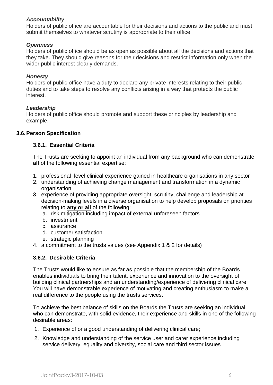#### *Accountability*

Holders of public office are accountable for their decisions and actions to the public and must submit themselves to whatever scrutiny is appropriate to their office.

#### *Openness*

Holders of public office should be as open as possible about all the decisions and actions that they take. They should give reasons for their decisions and restrict information only when the wider public interest clearly demands.

#### *Honesty*

Holders of public office have a duty to declare any private interests relating to their public duties and to take steps to resolve any conflicts arising in a way that protects the public interest.

#### *Leadership*

Holders of public office should promote and support these principles by leadership and example.

#### <span id="page-6-1"></span><span id="page-6-0"></span>**3.6.Person Specification**

#### **3.6.1. Essential Criteria**

The Trusts are seeking to appoint an individual from any background who can demonstrate **all** of the following essential expertise:

- 1. professional level clinical experience gained in healthcare organisations in any sector
- 2. understanding of achieving change management and transformation in a dynamic organisation
- 3. experience of providing appropriate oversight, scrutiny, challenge and leadership at decision-making levels in a diverse organisation to help develop proposals on priorities relating to **any or all** of the following:
	- a. risk mitigation including impact of external unforeseen factors
	- b. investment
	- c. assurance
	- d. customer satisfaction
	- e. strategic planning
- 4. a commitment to the trusts values (see Appendix 1 & 2 for details)

#### <span id="page-6-2"></span>**3.6.2. Desirable Criteria**

The Trusts would like to ensure as far as possible that the membership of the Boards enables individuals to bring their talent, experience and innovation to the oversight of building clinical partnerships and an understanding/experience of delivering clinical care. You will have demonstrable experience of motivating and creating enthusiasm to make a real difference to the people using the trusts services.

To achieve the best balance of skills on the Boards the Trusts are seeking an individual who can demonstrate, with solid evidence, their experience and skills in one of the following desirable areas:

- 1. Experience of or a good understanding of delivering clinical care;
- 2. Knowledge and understanding of the service user and carer experience including service delivery, equality and diversity, social care and third sector issues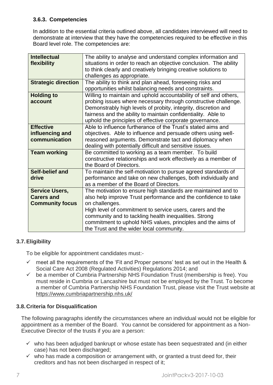#### <span id="page-7-0"></span>**3.6.3. Competencies**

In addition to the essential criteria outlined above, all candidates interviewed will need to demonstrate at interview that they have the competencies required to be effective in this Board level role. The competencies are:

| <b>Intellectual</b>        | The ability to analyse and understand complex information and     |
|----------------------------|-------------------------------------------------------------------|
| flexibility                | situations in order to reach an objective conclusion. The ability |
|                            | to think clearly and creatively bringing creative solutions to    |
|                            | challenges as appropriate.                                        |
| <b>Strategic direction</b> | The ability to think and plan ahead, foreseeing risks and         |
|                            | opportunities whilst balancing needs and constraints.             |
| <b>Holding to</b>          | Willing to maintain and uphold accountability of self and others, |
| account                    | probing issues where necessary through constructive challenge.    |
|                            | Demonstrably high levels of probity, integrity, discretion and    |
|                            | fairness and the ability to maintain confidentiality. Able to     |
|                            | uphold the principles of effective corporate governance.          |
| <b>Effective</b>           | Able to influence furtherance of the Trust's stated aims and      |
| influencing and            | objectives. Able to influence and persuade others using well-     |
| communication              | reasoned arguments. Demonstrate tact and diplomacy when           |
|                            | dealing with potentially difficult and sensitive issues.          |
| <b>Team working</b>        | Be committed to working as a team member. To build                |
|                            | constructive relationships and work effectively as a member of    |
|                            | the Board of Directors.                                           |
| <b>Self-belief and</b>     | To maintain the self-motivation to pursue agreed standards of     |
| drive                      | performance and take on new challenges, both individually and     |
|                            | as a member of the Board of Directors.                            |
| <b>Service Users,</b>      | The motivation to ensure high standards are maintained and to     |
| <b>Carers and</b>          | also help improve Trust performance and the confidence to take    |
| <b>Community focus</b>     | on challenges.                                                    |
|                            | High level of commitment to service users, carers and the         |
|                            | community and to tackling health inequalities. Strong             |
|                            | commitment to uphold NHS values, principles and the aims of       |
|                            | the Trust and the wider local community.                          |

# <span id="page-7-1"></span>**3.7.Eligibility**

To be eligible for appointment candidates must:-

- $\checkmark$  meet all the requirements of the 'Fit and Proper persons' test as set out in the Health & Social Care Act 2008 (Regulated Activities) Regulations 2014; and
- $\checkmark$  be a member of Cumbria Partnership NHS Foundation Trust (membership is free). You must reside in Cumbria or Lancashire but must not be employed by the Trust. To become a member of Cumbria Partnership NHS Foundation Trust, please visit the Trust website at <https://www.cumbriapartnership.nhs.uk/>

# <span id="page-7-2"></span>**3.8.Criteria for Disqualification**

The following paragraphs identify the circumstances where an individual would not be eligible for appointment as a member of the Board. You cannot be considered for appointment as a Non-Executive Director of the trusts if you are a person:

- $\checkmark$  who has been adjudged bankrupt or whose estate has been sequestrated and (in either case) has not been discharged;
- $\checkmark$  who has made a composition or arrangement with, or granted a trust deed for, their creditors and has not been discharged in respect of it;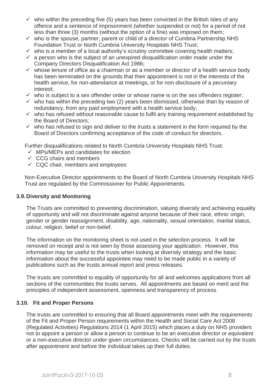- $\checkmark$  who within the preceding five (5) years has been convicted in the British Isles of any offence and a sentence of imprisonment (whether suspended or not) for a period of not less than three (3) months (without the option of a fine) was imposed on them;
- $\checkmark$  who is the spouse, partner, parent or child of a director of Cumbria Partnership NHS Foundation Trust or North Cumbria University Hospitals NHS Trust;
- $\checkmark$  who is a member of a local authority's scrutiny committee covering health matters;
- $\checkmark$  a person who is the subject of an unexpired disqualification order made under the Company Directors Disqualification Act 1986;
- $\checkmark$  whose tenure of office as a chairman or as a member or director of a health service body has been terminated on the grounds that their appointment is not in the interests of the health service, for non-attendance at meetings, or for non-disclosure of a pecuniary interest;
- $\checkmark$  who is subject to a sex offender order or whose name is on the sex offenders register;
- $\checkmark$  who has within the preceding two (2) years been dismissed, otherwise than by reason of redundancy, from any paid employment with a health service body;
- $\checkmark$  who has refused without reasonable cause to fulfil any training requirement established by the Board of Directors;
- $\checkmark$  who has refused to sign and deliver to the trusts a statement in the form required by the Board of Directors confirming acceptance of the code of conduct for directors.

Further disqualifications related to North Cumbria University Hospitals NHS Trust:

- $\checkmark$  MPs/MEPs and candidates for election
- $\checkmark$  CCG chairs and members
- $\checkmark$  CQC chair, members and employees

Non-Executive Director appointments to the Board of North Cumbria University Hospitals NHS Trust are regulated by the Commissioner for Public Appointments.

#### <span id="page-8-0"></span>**3.9.Diversity and Monitoring**

The Trusts are committed to preventing discrimination, valuing diversity and achieving equality of opportunity and will not discriminate against anyone because of their race, ethnic origin, gender or gender reassignment, disability, age, nationality, sexual orientation, marital status, colour, religion, belief or non-belief.

The information on the monitoring sheet is not used in the selection process. It will be removed on receipt and is not seen by those assessing your application. However, this information may be useful to the trusts when looking at diversity strategy and the basic information about the successful appointee may need to be made public in a variety of publications such as the trusts annual report and press releases.

The trusts are committed to equality of opportunity for all and welcomes applications from all sections of the communities the trusts serves. All appointments are based on merit and the principles of independent assessment, openness and transparency of process.

#### <span id="page-8-1"></span>**3.10. Fit and Proper Persons**

The trusts are committed to ensuring that all Board appointments meet with the requirements of the Fit and Proper Person requirements within the Health and Social Care Act 2008 (Regulated Activities) Regulations 2014 (1 April 2015) which places a duty on NHS providers not to appoint a person or allow a person to continue to be an executive director or equivalent or a non-executive director under given circumstances. Checks will be carried out by the trusts after appointment and before the individual takes up their full duties.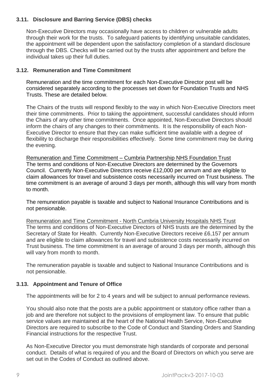#### <span id="page-9-0"></span>**3.11. Disclosure and Barring Service (DBS) checks**

Non-Executive Directors may occasionally have access to children or vulnerable adults through their work for the trusts. To safeguard patients by identifying unsuitable candidates, the appointment will be dependent upon the satisfactory completion of a standard disclosure through the DBS. Checks will be carried out by the trusts after appointment and before the individual takes up their full duties.

#### <span id="page-9-1"></span>**3.12. Remuneration and Time Commitment**

Remuneration and the time commitment for each Non-Executive Director post will be considered separately according to the processes set down for Foundation Trusts and NHS Trusts. These are detailed below.

The Chairs of the trusts will respond flexibly to the way in which Non-Executive Directors meet their time commitments. Prior to taking the appointment, successful candidates should inform the Chairs of any other time commitments. Once appointed, Non-Executive Directors should inform the chairs of any changes to their commitments. It is the responsibility of each Non-Executive Director to ensure that they can make sufficient time available with a degree of flexibility to discharge their responsibilities effectively. Some time commitment may be during the evening.

Remuneration and Time Commitment – Cumbria Partnership NHS Foundation Trust The terms and conditions of Non-Executive Directors are determined by the Governors Council. Currently Non-Executive Directors receive £12,000 per annum and are eligible to claim allowances for travel and subsistence costs necessarily incurred on Trust business. The time commitment is an average of around 3 days per month, although this will vary from month to month.

The remuneration payable is taxable and subject to National Insurance Contributions and is not pensionable.

Remuneration and Time Commitment - North Cumbria University Hospitals NHS Trust The terms and conditions of Non-Executive Directors of NHS trusts are the determined by the Secretary of State for Health. Currently Non-Executive Directors receive £6,157 per annum and are eligible to claim allowances for travel and subsistence costs necessarily incurred on Trust business. The time commitment is an average of around 3 days per month, although this will vary from month to month.

The remuneration payable is taxable and subject to National Insurance Contributions and is not pensionable.

#### <span id="page-9-2"></span>**3.13. Appointment and Tenure of Office**

The appointments will be for 2 to 4 years and will be subject to annual performance reviews.

You should also note that the posts are a public appointment or statutory office rather than a job and are therefore not subject to the provisions of employment law. To ensure that public service values are maintained at the heart of the National Health Service, Non-Executive Directors are required to subscribe to the Code of Conduct and Standing Orders and Standing Financial instructions for the respective Trust.

As Non-Executive Director you must demonstrate high standards of corporate and personal conduct. Details of what is required of you and the Board of Directors on which you serve are set out in the Codes of Conduct as outlined above.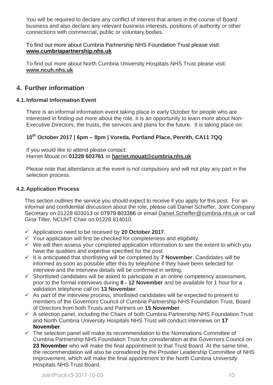You will be required to declare any conflict of interest that arises in the course of Board business and also declare any relevant business interests, positions of authority or other connections with commercial, public or voluntary bodies.

#### To find out more about Cumbria Partnership NHS Foundation Trust please visit: **[www.cumbriapartnership.nhs.uk](http://www.cumbriapartnership.nhs.uk/)**

To find out more about North Cumbria University Hospitals NHS Trust please visit: **[www.ncuh.nhs.uk](http://www.ncuh.nhs.uk/)**

# <span id="page-10-0"></span>**4. Further information**

# <span id="page-10-1"></span>**4.1.Informal Information Event**

There is an informal information event taking place in early October for people who are interested in finding out more about the role. It is an opportunity to learn more about Non-Executive Directors, the trusts, the services and plans for the future. It is taking place on:

# **10th October 2017 | 6pm – 8pm | Voreda, Portland Place, Penrith, CA11 7QQ**

If you would like to attend please contact: Harriet Mouat on **01228 603761** or **[harriet.mouat@cumbria.nhs.uk](mailto:harriet.mouat@cumbria.nhs.uk)**

Please note that attendance at the event is not compulsory and will not play any part in the selection process.

#### <span id="page-10-2"></span>**4.2.Application Process**

This section outlines the service you should expect to receive if you apply for this post. For an informal and confidential discussion about the role, please call Daniel Scheffer, Joint Company Secretary on 01228 603013 or 07979 803386 or email [Daniel.Scheffer@cumbria.nhs.uk](mailto:Daniel.Scheffer@cumbria.nhs.uk) or call Gina Tiller, NCUHT Chair on 01228 814010.

- Applications need to be received by **20 October 2017**.
- $\checkmark$  Your application will first be checked for completeness and eligibility.
- $\checkmark$  We will then assess your completed application information to see the extent to which you have the qualities and expertise specified for the post.
- $\checkmark$  It is anticipated that shortlisting will be completed by **7 November**. Candidates will be informed as soon as possible after this by telephone if they have been selected for interview and the interview details will be confirmed in writing.
- $\checkmark$  Shortlisted candidates will be asked to participate in an online competency assessment, prior to the formal interviews during **8 - 12 November** and be available for 1 hour for a validation telephone call on **13 November**.
- $\checkmark$  As part of the interview process, shortlisted candidates will be expected to present to members of the Governors Council of Cumbria Partnership NHS Foundation Trust, Board of Directors from both Trusts and Partners on **15 November**.
- $\checkmark$  A selection panel, including the Chairs of both Cumbria Partnership NHS Foundation Trust and North Cumbria University Hospitals NHS Trust will conduct interviews on **17 November**.
- $\checkmark$  The selection panel will make its recommendation to the Nominations Committee of Cumbria Partnership NHS Foundation Trust for consideration at the Governors Council on **23 November** who will make the final appointment to that Trust Board. At the same time, the recommendation will also be considered by the Provider Leadership Committee of NHS Improvement, which will make the final appointment to the North Cumbria University Hospitals NHS Trust Board.